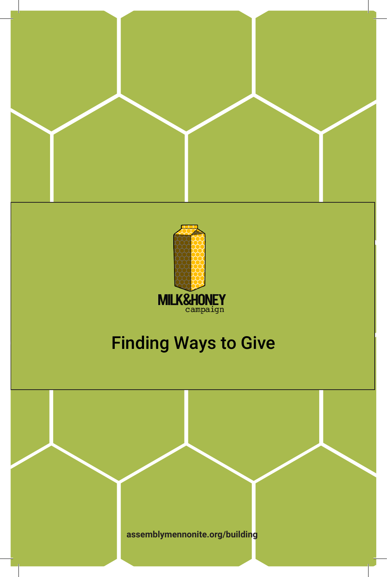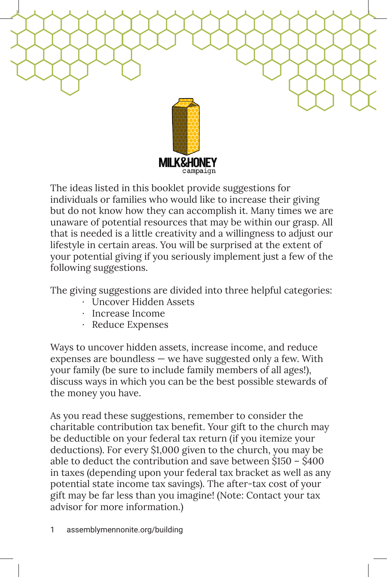

The ideas listed in this booklet provide suggestions for individuals or families who would like to increase their giving but do not know how they can accomplish it. Many times we are unaware of potential resources that may be within our grasp. All that is needed is a little creativity and a willingness to adjust our lifestyle in certain areas. You will be surprised at the extent of your potential giving if you seriously implement just a few of the following suggestions.

The giving suggestions are divided into three helpful categories:

- · Uncover Hidden Assets
- · Increase Income
- · Reduce Expenses

Ways to uncover hidden assets, increase income, and reduce expenses are boundless — we have suggested only a few. With your family (be sure to include family members of all ages!), discuss ways in which you can be the best possible stewards of the money you have.

As you read these suggestions, remember to consider the charitable contribution tax benefit. Your gift to the church may be deductible on your federal tax return (if you itemize your deductions). For every \$1,000 given to the church, you may be able to deduct the contribution and save between \$150 – \$400 in taxes (depending upon your federal tax bracket as well as any potential state income tax savings). The after-tax cost of your gift may be far less than you imagine! (Note: Contact your tax advisor for more information.)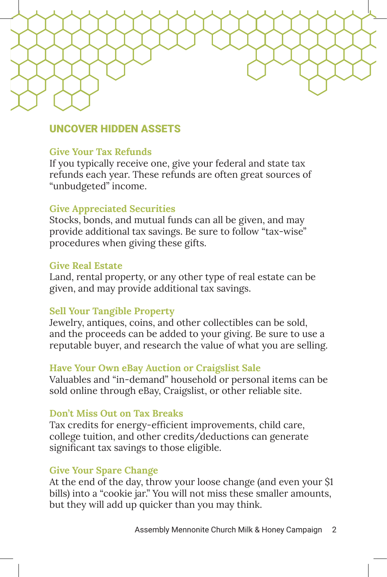# UNCOVER HIDDEN ASSETS

### **Give Your Tax Refunds**

If you typically receive one, give your federal and state tax refunds each year. These refunds are often great sources of "unbudgeted" income.

## **Give Appreciated Securities**

Stocks, bonds, and mutual funds can all be given, and may provide additional tax savings. Be sure to follow "tax-wise" procedures when giving these gifts.

#### **Give Real Estate**

Land, rental property, or any other type of real estate can be given, and may provide additional tax savings.

#### **Sell Your Tangible Property**

Jewelry, antiques, coins, and other collectibles can be sold, and the proceeds can be added to your giving. Be sure to use a reputable buyer, and research the value of what you are selling.

#### **Have Your Own eBay Auction or Craigslist Sale**

Valuables and "in-demand" household or personal items can be sold online through eBay, Craigslist, or other reliable site.

#### **Don't Miss Out on Tax Breaks**

Tax credits for energy-efficient improvements, child care, college tuition, and other credits/deductions can generate significant tax savings to those eligible.

#### **Give Your Spare Change**

At the end of the day, throw your loose change (and even your \$1 bills) into a "cookie jar." You will not miss these smaller amounts, but they will add up quicker than you may think.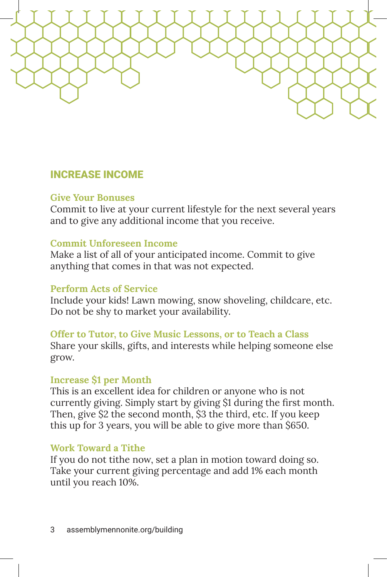# INCREASE INCOME

## **Give Your Bonuses**

Commit to live at your current lifestyle for the next several years and to give any additional income that you receive.

### **Commit Unforeseen Income**

Make a list of all of your anticipated income. Commit to give anything that comes in that was not expected.

## **Perform Acts of Service**

Include your kids! Lawn mowing, snow shoveling, childcare, etc. Do not be shy to market your availability.

## **Offer to Tutor, to Give Music Lessons, or to Teach a Class**

Share your skills, gifts, and interests while helping someone else grow.

## **Increase \$1 per Month**

This is an excellent idea for children or anyone who is not currently giving. Simply start by giving \$1 during the first month. Then, give \$2 the second month, \$3 the third, etc. If you keep this up for 3 years, you will be able to give more than \$650.

## **Work Toward a Tithe**

If you do not tithe now, set a plan in motion toward doing so. Take your current giving percentage and add 1% each month until you reach 10%.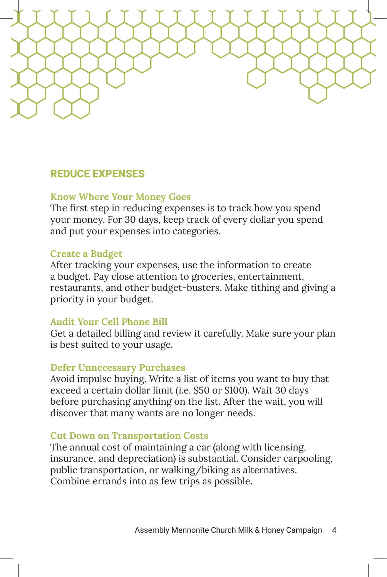

## REDUCE EXPENSES

### **Know Where Your Money Goes**

The first step in reducing expenses is to track how you spend your money. For 30 days, keep track of every dollar you spend and put your expenses into categories.

### **Create a Budget**

After tracking your expenses, use the information to create a budget. Pay close attention to groceries, entertainment, restaurants, and other budget-busters. Make tithing and giving a priority in your budget.

## **Audit Your Cell Phone Bill**

Get a detailed billing and review it carefully. Make sure your plan is best suited to your usage.

#### **Defer Unnecessary Purchases**

Avoid impulse buying. Write a list of items you want to buy that exceed a certain dollar limit (i.e. \$50 or \$100). Wait 30 days before purchasing anything on the list. After the wait, you will discover that many wants are no longer needs.

#### **Cut Down on Transportation Costs**

The annual cost of maintaining a car (along with licensing, insurance, and depreciation) is substantial. Consider carpooling, public transportation, or walking/biking as alternatives. Combine errands into as few trips as possible.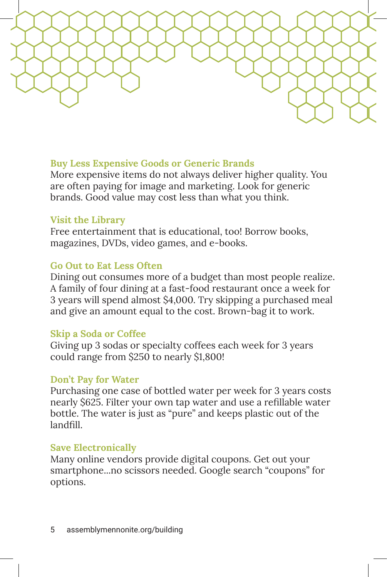## **Buy Less Expensive Goods or Generic Brands**

More expensive items do not always deliver higher quality. You are often paying for image and marketing. Look for generic brands. Good value may cost less than what you think.

## **Visit the Library**

Free entertainment that is educational, too! Borrow books, magazines, DVDs, video games, and e-books.

## **Go Out to Eat Less Often**

Dining out consumes more of a budget than most people realize. A family of four dining at a fast-food restaurant once a week for 3 years will spend almost \$4,000. Try skipping a purchased meal and give an amount equal to the cost. Brown-bag it to work.

## **Skip a Soda or Coffee**

Giving up 3 sodas or specialty coffees each week for 3 years could range from \$250 to nearly \$1,800!

## **Don't Pay for Water**

Purchasing one case of bottled water per week for 3 years costs nearly \$625. Filter your own tap water and use a refillable water bottle. The water is just as "pure" and keeps plastic out of the landfill.

## **Save Electronically**

Many online vendors provide digital coupons. Get out your smartphone...no scissors needed. Google search "coupons" for options.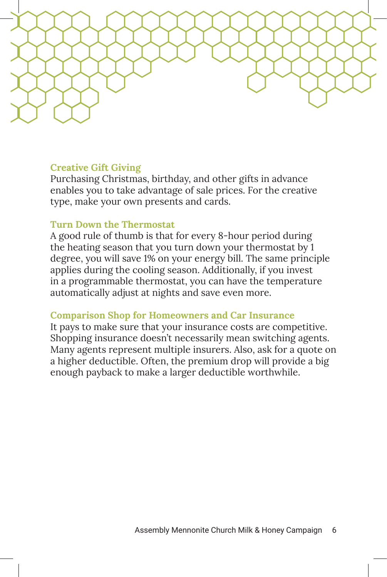

## **Creative Gift Giving**

Purchasing Christmas, birthday, and other gifts in advance enables you to take advantage of sale prices. For the creative type, make your own presents and cards.

## **Turn Down the Thermostat**

A good rule of thumb is that for every 8-hour period during the heating season that you turn down your thermostat by 1 degree, you will save 1% on your energy bill. The same principle applies during the cooling season. Additionally, if you invest in a programmable thermostat, you can have the temperature automatically adjust at nights and save even more.

## **Comparison Shop for Homeowners and Car Insurance**

It pays to make sure that your insurance costs are competitive. Shopping insurance doesn't necessarily mean switching agents. Many agents represent multiple insurers. Also, ask for a quote on a higher deductible. Often, the premium drop will provide a big enough payback to make a larger deductible worthwhile.